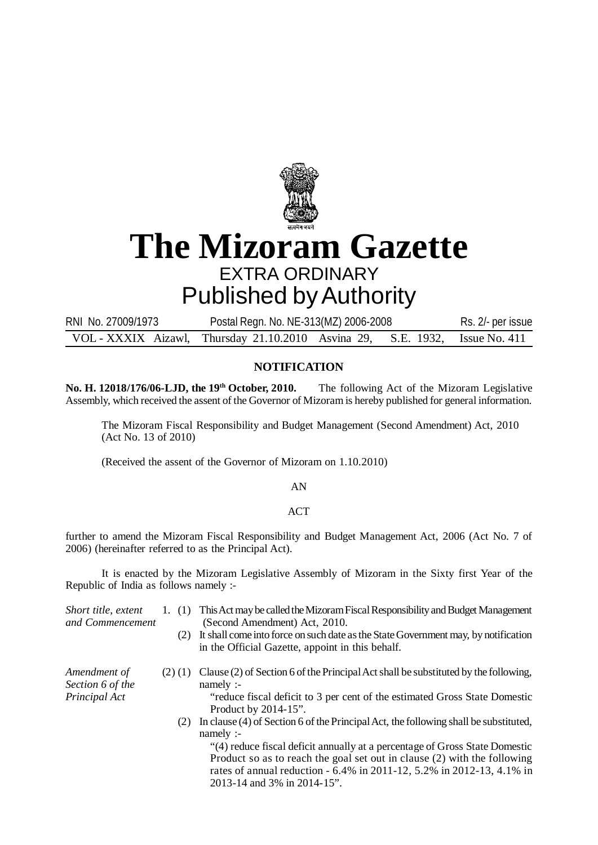

## **The Mizoram Gazette** EXTRA ORDINARY

## Published by Authority

RNI No. 27009/1973 Postal Regn. No. NE-313(MZ) 2006-2008 Rs. 2/- per issue VOL - XXXIX Aizawl, Thursday 21.10.2010 Asvina 29, S.E. 1932, Issue No. 411

## **NOTIFICATION**

**No. H. 12018/176/06-LJD, the 19<sup>th</sup> October, 2010.** The following Act of the Mizoram Legislative Assembly, which received the assent of the Governor of Mizoram is hereby published for general information.

The Mizoram Fiscal Responsibility and Budget Management (Second Amendment) Act, 2010 (Act No. 13 of 2010)

(Received the assent of the Governor of Mizoram on 1.10.2010)

AN

## ACT

further to amend the Mizoram Fiscal Responsibility and Budget Management Act, 2006 (Act No. 7 of 2006) (hereinafter referred to as the Principal Act).

It is enacted by the Mizoram Legislative Assembly of Mizoram in the Sixty first Year of the Republic of India as follows namely :-

- *Short title, extent* 1. (1) This Act may be called the Mizoram Fiscal Responsibility and Budget Management *and Commencement* (Second Amendment) Act, 2010.
	- (2) It shall come into force on such date as the State Government may, by notification in the Official Gazette, appoint in this behalf.

*Amendment of* (2) (1) Clause (2) of Section 6 of the Principal Act shall be substituted by the following, *Section 6 of the* namely :-

*Principal Act* "reduce fiscal deficit to 3 per cent of the estimated Gross State Domestic Product by 2014-15".

> (2) In clause (4) of Section 6 of the Principal Act, the following shall be substituted, namely :-

"(4) reduce fiscal deficit annually at a percentage of Gross State Domestic Product so as to reach the goal set out in clause (2) with the following rates of annual reduction - 6.4% in 2011-12, 5.2% in 2012-13, 4.1% in 2013-14 and 3% in 2014-15".